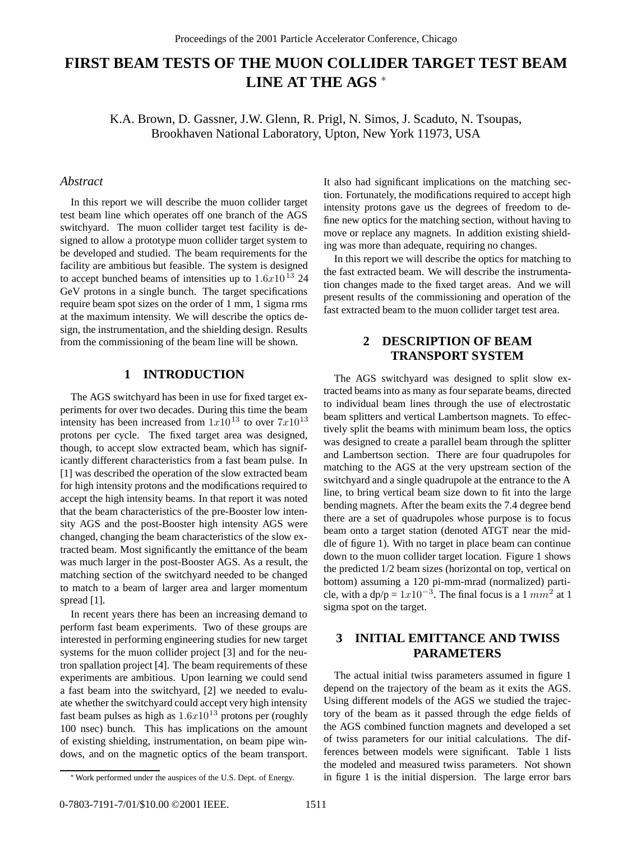# **FIRST BEAM TESTS OF THE MUON COLLIDER TARGET TEST BEAM LINE AT THE AGS** <sup>∗</sup>

K.A. Brown, D. Gassner, J.W. Glenn, R. Prigl, N. Simos, J. Scaduto, N. Tsoupas, Brookhaven National Laboratory, Upton, New York 11973, USA

### *Abstract*

In this report we will describe the muon collider target test beam line which operates off one branch of the AGS switchyard. The muon collider target test facility is designed to allow a prototype muon collider target system to be developed and studied. The beam requirements for the facility are ambitious but feasible. The system is designed to accept bunched beams of intensities up to  $1.6x10^{13}$  24 GeV protons in a single bunch. The target specifications require beam spot sizes on the order of 1 mm, 1 sigma rms at the maximum intensity. We will describe the optics design, the instrumentation, and the shielding design. Results from the commissioning of the beam line will be shown.

## **1 INTRODUCTION**

The AGS switchyard has been in use for fixed target experiments for over two decades. During this time the beam intensity has been increased from  $1x10^{13}$  to over  $7x10^{13}$ protons per cycle. The fixed target area was designed, though, to accept slow extracted beam, which has significantly different characteristics from a fast beam pulse. In [1] was described the operation of the slow extracted beam for high intensity protons and the modifications required to accept the high intensity beams. In that report it was noted that the beam characteristics of the pre-Booster low intensity AGS and the post-Booster high intensity AGS were changed, changing the beam characteristics of the slow extracted beam. Most significantly the emittance of the beam was much larger in the post-Booster AGS. As a result, the matching section of the switchyard needed to be changed to match to a beam of larger area and larger momentum spread [1].

In recent years there has been an increasing demand to perform fast beam experiments. Two of these groups are interested in performing engineering studies for new target systems for the muon collider project [3] and for the neutron spallation project [4]. The beam requirements of these experiments are ambitious. Upon learning we could send a fast beam into the switchyard, [2] we needed to evaluate whether the switchyard could accept very high intensity fast beam pulses as high as  $1.6x10^{13}$  protons per (roughly 100 nsec) bunch. This has implications on the amount of existing shielding, instrumentation, on beam pipe windows, and on the magnetic optics of the beam transport. It also had significant implications on the matching section. Fortunately, the modifications required to accept high intensity protons gave us the degrees of freedom to define new optics for the matching section, without having to move or replace any magnets. In addition existing shielding was more than adequate, requiring no changes.

In this report we will describe the optics for matching to the fast extracted beam. We will describe the instrumentation changes made to the fixed target areas. And we will present results of the commissioning and operation of the fast extracted beam to the muon collider target test area.

## **2 DESCRIPTION OF BEAM TRANSPORT SYSTEM**

The AGS switchyard was designed to split slow extracted beams into as many as four separate beams, directed to individual beam lines through the use of electrostatic beam splitters and vertical Lambertson magnets. To effectively split the beams with minimum beam loss, the optics was designed to create a parallel beam through the splitter and Lambertson section. There are four quadrupoles for matching to the AGS at the very upstream section of the switchyard and a single quadrupole at the entrance to the A line, to bring vertical beam size down to fit into the large bending magnets. After the beam exits the 7.4 degree bend there are a set of quadrupoles whose purpose is to focus beam onto a target station (denoted ATGT near the middle of figure 1). With no target in place beam can continue down to the muon collider target location. Figure 1 shows the predicted 1/2 beam sizes (horizontal on top, vertical on bottom) assuming a 120 pi-mm-mrad (normalized) particle, with a dp/p =  $1x10^{-3}$ . The final focus is a 1 mm<sup>2</sup> at 1 sigma spot on the target.

# **3 INITIAL EMITTANCE AND TWISS PARAMETERS**

The actual initial twiss parameters assumed in figure 1 depend on the trajectory of the beam as it exits the AGS. Using different models of the AGS we studied the trajectory of the beam as it passed through the edge fields of the AGS combined function magnets and developed a set of twiss parameters for our initial calculations. The differences between models were significant. Table 1 lists the modeled and measured twiss parameters. Not shown in figure 1 is the initial dispersion. The large error bars

<sup>∗</sup>Work performed under the auspices of the U.S. Dept. of Energy.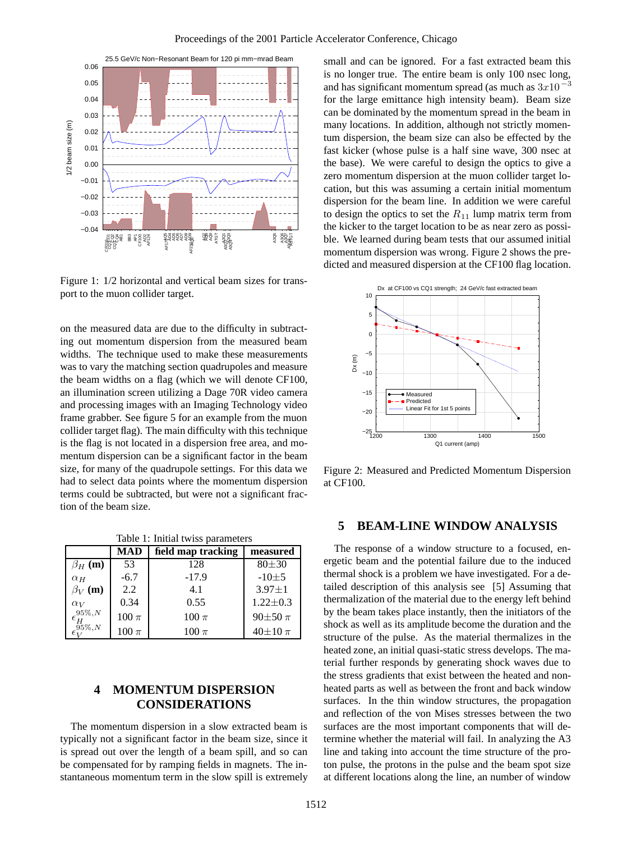

Figure 1: 1/2 horizontal and vertical beam sizes for transport to the muon collider target.

on the measured data are due to the difficulty in subtracting out momentum dispersion from the measured beam widths. The technique used to make these measurements was to vary the matching section quadrupoles and measure the beam widths on a flag (which we will denote CF100, an illumination screen utilizing a Dage 70R video camera and processing images with an Imaging Technology video frame grabber. See figure 5 for an example from the muon collider target flag). The main difficulty with this technique is the flag is not located in a dispersion free area, and momentum dispersion can be a significant factor in the beam size, for many of the quadrupole settings. For this data we had to select data points where the momentum dispersion terms could be subtracted, but were not a significant fraction of the beam size.

Table 1: Initial twiss parameters

|                          | MAD        | field map tracking | measured       |
|--------------------------|------------|--------------------|----------------|
| $\beta_H$ (m)            | 53         | 128                | $80 + 30$      |
| $\alpha$ <sub>H</sub>    | $-6.7$     | $-17.9$            | $-10\pm5$      |
| $\beta_V$ (m)            | 2.2        | 4.1                | $3.97 \pm 1$   |
| $\alpha_V$               | 0.34       | 0.55               | $1.22 \pm 0.3$ |
| $\epsilon_H^{95\%, N}$   | $100 \pi$  | $100 \pi$          | $90\pm50 \pi$  |
| $\epsilon_{17}^{95\%,N}$ | $100\,\pi$ | $100 \pi$          | $40\pm10 \pi$  |

# **4 MOMENTUM DISPERSION CONSIDERATIONS**

The momentum dispersion in a slow extracted beam is typically not a significant factor in the beam size, since it is spread out over the length of a beam spill, and so can be compensated for by ramping fields in magnets. The instantaneous momentum term in the slow spill is extremely small and can be ignored. For a fast extracted beam this is no longer true. The entire beam is only 100 nsec long, and has significant momentum spread (as much as 3x10*−*<sup>3</sup> for the large emittance high intensity beam). Beam size can be dominated by the momentum spread in the beam in many locations. In addition, although not strictly momentum dispersion, the beam size can also be effected by the fast kicker (whose pulse is a half sine wave, 300 nsec at the base). We were careful to design the optics to give a zero momentum dispersion at the muon collider target location, but this was assuming a certain initial momentum dispersion for the beam line. In addition we were careful to design the optics to set the  $R_{11}$  lump matrix term from the kicker to the target location to be as near zero as possible. We learned during beam tests that our assumed initial momentum dispersion was wrong. Figure 2 shows the predicted and measured dispersion at the CF100 flag location.



Figure 2: Measured and Predicted Momentum Dispersion at CF100.

### **5 BEAM-LINE WINDOW ANALYSIS**

The response of a window structure to a focused, energetic beam and the potential failure due to the induced thermal shock is a problem we have investigated. For a detailed description of this analysis see [5] Assuming that thermalization of the material due to the energy left behind by the beam takes place instantly, then the initiators of the shock as well as its amplitude become the duration and the structure of the pulse. As the material thermalizes in the heated zone, an initial quasi-static stress develops. The material further responds by generating shock waves due to the stress gradients that exist between the heated and nonheated parts as well as between the front and back window surfaces. In the thin window structures, the propagation and reflection of the von Mises stresses between the two surfaces are the most important components that will determine whether the material will fail. In analyzing the A3 line and taking into account the time structure of the proton pulse, the protons in the pulse and the beam spot size at different locations along the line, an number of window